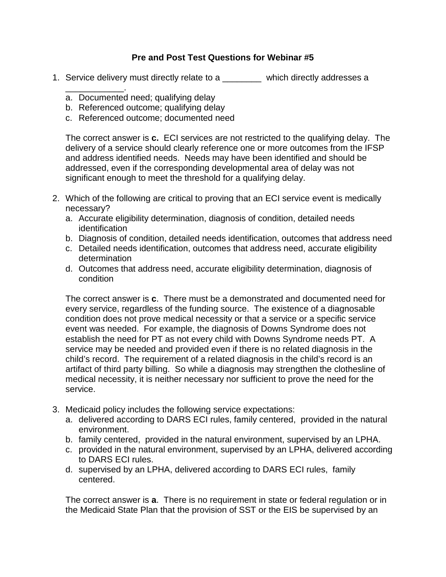## **Pre and Post Test Questions for Webinar #5**

- 1. Service delivery must directly relate to a \_\_\_\_\_\_\_\_ which directly addresses a
	- \_\_\_\_\_\_\_\_\_\_\_\_. a. Documented need; qualifying delay
	- b. Referenced outcome; qualifying delay
	- c. Referenced outcome; documented need

The correct answer is **c.** ECI services are not restricted to the qualifying delay. The delivery of a service should clearly reference one or more outcomes from the IFSP and address identified needs. Needs may have been identified and should be addressed, even if the corresponding developmental area of delay was not significant enough to meet the threshold for a qualifying delay.

- 2. Which of the following are critical to proving that an ECI service event is medically necessary?
	- a. Accurate eligibility determination, diagnosis of condition, detailed needs identification
	- b. Diagnosis of condition, detailed needs identification, outcomes that address need
	- c. Detailed needs identification, outcomes that address need, accurate eligibility determination
	- d. Outcomes that address need, accurate eligibility determination, diagnosis of condition

The correct answer is **c**. There must be a demonstrated and documented need for every service, regardless of the funding source. The existence of a diagnosable condition does not prove medical necessity or that a service or a specific service event was needed. For example, the diagnosis of Downs Syndrome does not establish the need for PT as not every child with Downs Syndrome needs PT. A service may be needed and provided even if there is no related diagnosis in the child's record. The requirement of a related diagnosis in the child's record is an artifact of third party billing. So while a diagnosis may strengthen the clothesline of medical necessity, it is neither necessary nor sufficient to prove the need for the service.

- 3. Medicaid policy includes the following service expectations:
	- a. delivered according to DARS ECI rules, family centered, provided in the natural environment.
	- b. family centered, provided in the natural environment, supervised by an LPHA.
	- c. provided in the natural environment, supervised by an LPHA, delivered according to DARS ECI rules.
	- d. supervised by an LPHA, delivered according to DARS ECI rules, family centered.

The correct answer is **a**. There is no requirement in state or federal regulation or in the Medicaid State Plan that the provision of SST or the EIS be supervised by an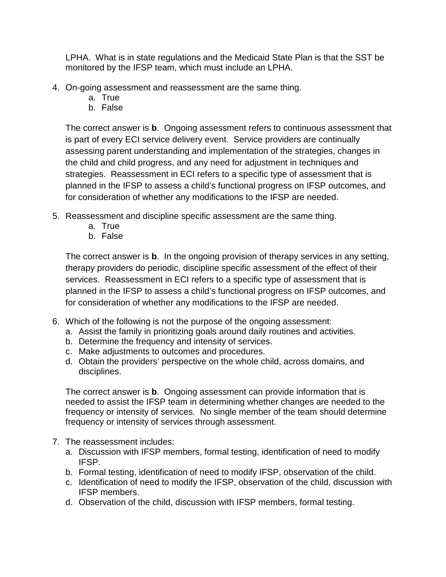LPHA. What is in state regulations and the Medicaid State Plan is that the SST be monitored by the IFSP team, which must include an LPHA.

- 4. On-going assessment and reassessment are the same thing.
	- a. True
	- b. False

The correct answer is **b**. Ongoing assessment refers to continuous assessment that is part of every ECI service delivery event. Service providers are continually assessing parent understanding and implementation of the strategies, changes in the child and child progress, and any need for adjustment in techniques and strategies. Reassessment in ECI refers to a specific type of assessment that is planned in the IFSP to assess a child's functional progress on IFSP outcomes, and for consideration of whether any modifications to the IFSP are needed.

- 5. Reassessment and discipline specific assessment are the same thing.
	- a. True
	- b. False

The correct answer is **b**. In the ongoing provision of therapy services in any setting, therapy providers do periodic, discipline specific assessment of the effect of their services. Reassessment in ECI refers to a specific type of assessment that is planned in the IFSP to assess a child's functional progress on IFSP outcomes, and for consideration of whether any modifications to the IFSP are needed.

- 6. Which of the following is not the purpose of the ongoing assessment:
	- a. Assist the family in prioritizing goals around daily routines and activities.
	- b. Determine the frequency and intensity of services.
	- c. Make adjustments to outcomes and procedures.
	- d. Obtain the providers' perspective on the whole child, across domains, and disciplines.

The correct answer is **b**. Ongoing assessment can provide information that is needed to assist the IFSP team in determining whether changes are needed to the frequency or intensity of services. No single member of the team should determine frequency or intensity of services through assessment.

- 7. The reassessment includes:
	- a. Discussion with IFSP members, formal testing, identification of need to modify IFSP.
	- b. Formal testing, identification of need to modify IFSP, observation of the child.
	- c. Identification of need to modify the IFSP, observation of the child, discussion with IFSP members.
	- d. Observation of the child, discussion with IFSP members, formal testing.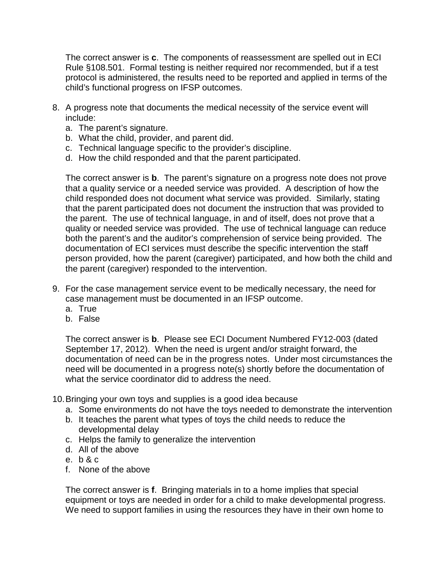The correct answer is **c**. The components of reassessment are spelled out in ECI Rule §108.501. Formal testing is neither required nor recommended, but if a test protocol is administered, the results need to be reported and applied in terms of the child's functional progress on IFSP outcomes.

- 8. A progress note that documents the medical necessity of the service event will include:
	- a. The parent's signature.
	- b. What the child, provider, and parent did.
	- c. Technical language specific to the provider's discipline.
	- d. How the child responded and that the parent participated.

The correct answer is **b**. The parent's signature on a progress note does not prove that a quality service or a needed service was provided. A description of how the child responded does not document what service was provided. Similarly, stating that the parent participated does not document the instruction that was provided to the parent. The use of technical language, in and of itself, does not prove that a quality or needed service was provided. The use of technical language can reduce both the parent's and the auditor's comprehension of service being provided. The documentation of ECI services must describe the specific intervention the staff person provided, how the parent (caregiver) participated, and how both the child and the parent (caregiver) responded to the intervention.

- 9. For the case management service event to be medically necessary, the need for case management must be documented in an IFSP outcome.
	- a. True
	- b. False

The correct answer is **b**. Please see ECI Document Numbered FY12-003 (dated September 17, 2012). When the need is urgent and/or straight forward, the documentation of need can be in the progress notes. Under most circumstances the need will be documented in a progress note(s) shortly before the documentation of what the service coordinator did to address the need.

- 10.Bringing your own toys and supplies is a good idea because
	- a. Some environments do not have the toys needed to demonstrate the intervention
	- b. It teaches the parent what types of toys the child needs to reduce the developmental delay
	- c. Helps the family to generalize the intervention
	- d. All of the above
	- e. b & c
	- f. None of the above

The correct answer is **f**. Bringing materials in to a home implies that special equipment or toys are needed in order for a child to make developmental progress. We need to support families in using the resources they have in their own home to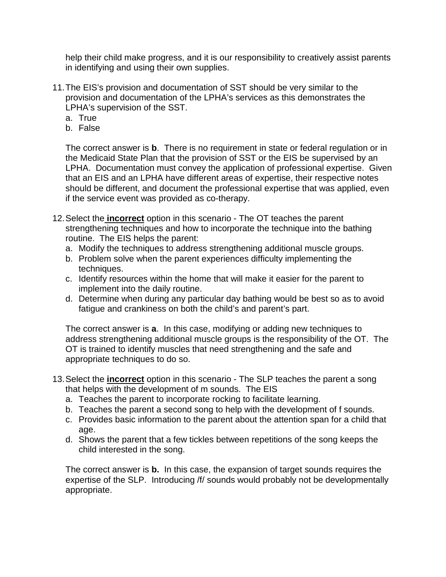help their child make progress, and it is our responsibility to creatively assist parents in identifying and using their own supplies.

- 11.The EIS's provision and documentation of SST should be very similar to the provision and documentation of the LPHA's services as this demonstrates the LPHA's supervision of the SST.
	- a. True
	- b. False

The correct answer is **b**. There is no requirement in state or federal regulation or in the Medicaid State Plan that the provision of SST or the EIS be supervised by an LPHA. Documentation must convey the application of professional expertise. Given that an EIS and an LPHA have different areas of expertise, their respective notes should be different, and document the professional expertise that was applied, even if the service event was provided as co-therapy.

- 12.Select the **incorrect** option in this scenario The OT teaches the parent strengthening techniques and how to incorporate the technique into the bathing routine. The EIS helps the parent:
	- a. Modify the techniques to address strengthening additional muscle groups.
	- b. Problem solve when the parent experiences difficulty implementing the techniques.
	- c. Identify resources within the home that will make it easier for the parent to implement into the daily routine.
	- d. Determine when during any particular day bathing would be best so as to avoid fatigue and crankiness on both the child's and parent's part.

The correct answer is **a**. In this case, modifying or adding new techniques to address strengthening additional muscle groups is the responsibility of the OT. The OT is trained to identify muscles that need strengthening and the safe and appropriate techniques to do so.

- 13.Select the **incorrect** option in this scenario The SLP teaches the parent a song that helps with the development of m sounds. The EIS
	- a. Teaches the parent to incorporate rocking to facilitate learning.
	- b. Teaches the parent a second song to help with the development of f sounds.
	- c. Provides basic information to the parent about the attention span for a child that age.
	- d. Shows the parent that a few tickles between repetitions of the song keeps the child interested in the song.

The correct answer is **b.** In this case, the expansion of target sounds requires the expertise of the SLP. Introducing /f/ sounds would probably not be developmentally appropriate.